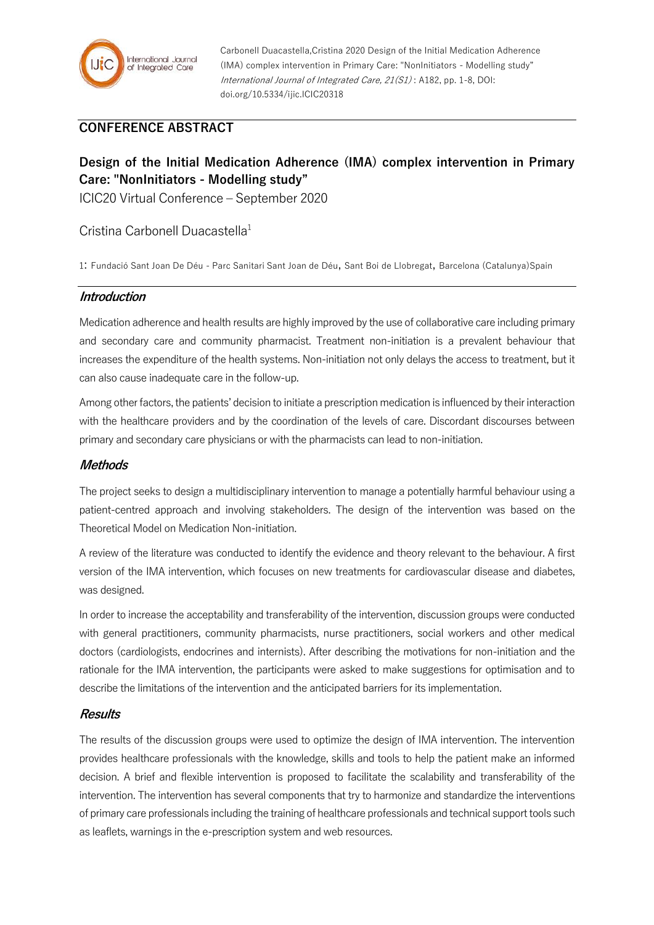

Carbonell Duacastella,Cristina 2020 Design of the Initial Medication Adherence (IMA) complex intervention in Primary Care: "NonInitiators - Modelling study" International Journal of Integrated Care, 21(S1) : A182, pp. 1-8, DOI: doi.org/10.5334/ijic.ICIC20318

## **CONFERENCE ABSTRACT**

# **Design of the Initial Medication Adherence (IMA) complex intervention in Primary Care: "NonInitiators - Modelling study"**

ICIC20 Virtual Conference – September 2020

### Cristina Carbonell Duacastella<sup>1</sup>

1: Fundació Sant Joan De Déu - Parc Sanitari Sant Joan de Déu, Sant Boi de Llobregat, Barcelona (Catalunya)Spain

#### **Introduction**

Medication adherence and health results are highly improved by the use of collaborative care including primary and secondary care and community pharmacist. Treatment non-initiation is a prevalent behaviour that increases the expenditure of the health systems. Non-initiation not only delays the access to treatment, but it can also cause inadequate care in the follow-up.

Among other factors, the patients' decision to initiate a prescription medication is influenced by their interaction with the healthcare providers and by the coordination of the levels of care. Discordant discourses between primary and secondary care physicians or with the pharmacists can lead to non-initiation.

#### **Methods**

The project seeks to design a multidisciplinary intervention to manage a potentially harmful behaviour using a patient-centred approach and involving stakeholders. The design of the intervention was based on the Theoretical Model on Medication Non-initiation.

A review of the literature was conducted to identify the evidence and theory relevant to the behaviour. A first version of the IMA intervention, which focuses on new treatments for cardiovascular disease and diabetes, was designed.

In order to increase the acceptability and transferability of the intervention, discussion groups were conducted with general practitioners, community pharmacists, nurse practitioners, social workers and other medical doctors (cardiologists, endocrines and internists). After describing the motivations for non-initiation and the rationale for the IMA intervention, the participants were asked to make suggestions for optimisation and to describe the limitations of the intervention and the anticipated barriers for its implementation.

#### **Results**

The results of the discussion groups were used to optimize the design of IMA intervention. The intervention provides healthcare professionals with the knowledge, skills and tools to help the patient make an informed decision. A brief and flexible intervention is proposed to facilitate the scalability and transferability of the intervention. The intervention has several components that try to harmonize and standardize the interventions of primary care professionals including the training of healthcare professionals and technical support tools such as leaflets, warnings in the e-prescription system and web resources.